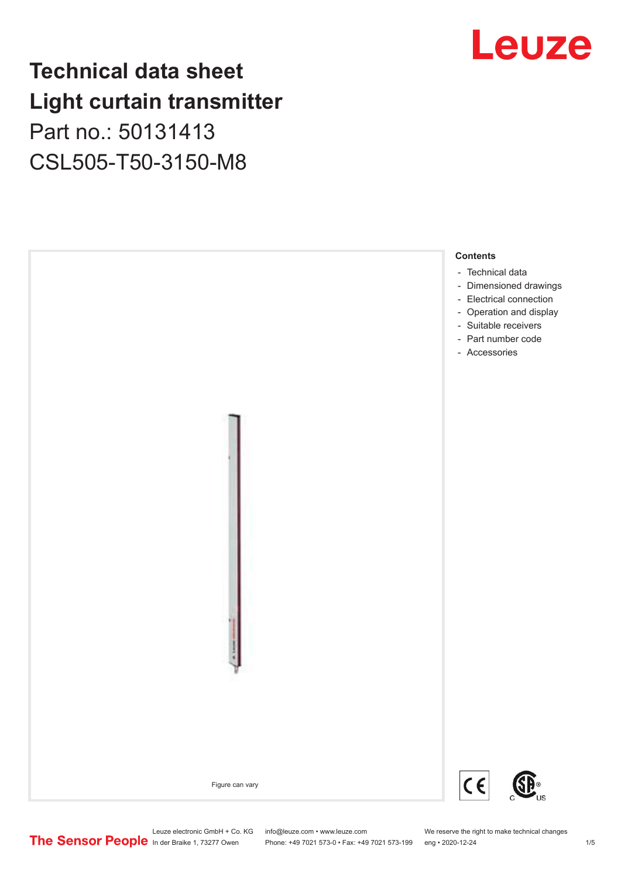### **Technical data sheet Light curtain transmitter** Part no.: 50131413

CSL505-T50-3150-M8





Phone: +49 7021 573-0 • Fax: +49 7021 573-199 eng • 2020-12-24 1 2020-12-24

Leuze electronic GmbH + Co. KG info@leuze.com • www.leuze.com We reserve the right to make technical changes<br>
The Sensor People in der Braike 1, 73277 Owen Phone: +49 7021 573-0 • Fax: +49 7021 573-199 eng • 2020-12-24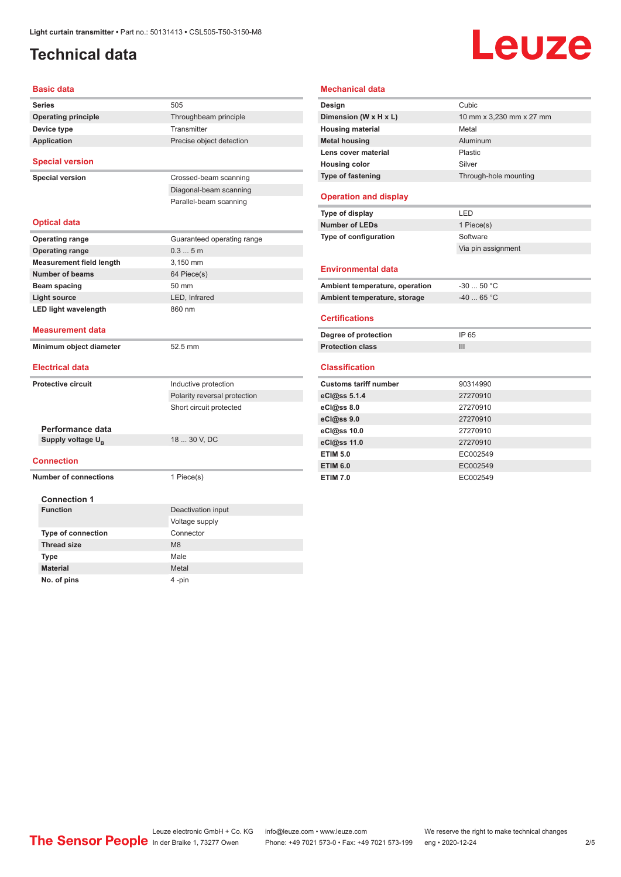#### <span id="page-1-0"></span>**Technical data**

# Leuze

| <b>Basic data</b>                                 |                              |  |
|---------------------------------------------------|------------------------------|--|
| <b>Series</b>                                     | 505                          |  |
| <b>Operating principle</b>                        | Throughbeam principle        |  |
| Device type                                       | Transmitter                  |  |
| <b>Application</b>                                | Precise object detection     |  |
|                                                   |                              |  |
| <b>Special version</b>                            |                              |  |
| <b>Special version</b>                            | Crossed-beam scanning        |  |
|                                                   | Diagonal-beam scanning       |  |
|                                                   | Parallel-beam scanning       |  |
|                                                   |                              |  |
| <b>Optical data</b>                               |                              |  |
| <b>Operating range</b>                            | Guaranteed operating range   |  |
| <b>Operating range</b>                            | 0.35m                        |  |
| <b>Measurement field length</b>                   | 3.150 mm                     |  |
| Number of beams                                   | 64 Piece(s)                  |  |
| Beam spacing                                      | 50 mm                        |  |
| <b>Light source</b>                               | LED, Infrared                |  |
| <b>LED light wavelength</b>                       | 860 nm                       |  |
| <b>Measurement data</b>                           |                              |  |
|                                                   |                              |  |
| Minimum object diameter                           | 52.5 mm                      |  |
| <b>Electrical data</b>                            |                              |  |
|                                                   |                              |  |
| <b>Protective circuit</b>                         | Inductive protection         |  |
|                                                   | Polarity reversal protection |  |
|                                                   | Short circuit protected      |  |
|                                                   |                              |  |
| Performance data<br>Supply voltage U <sub>B</sub> | 18  30 V, DC                 |  |
|                                                   |                              |  |
| <b>Connection</b>                                 |                              |  |
| <b>Number of connections</b>                      | 1 Piece(s)                   |  |
|                                                   |                              |  |
| <b>Connection 1</b>                               |                              |  |
| <b>Function</b>                                   | Deactivation input           |  |
|                                                   | Voltage supply               |  |
| <b>Type of connection</b>                         | Connector                    |  |
| <b>Thread size</b>                                | M8                           |  |
| <b>Type</b>                                       | Male                         |  |
| <b>Material</b>                                   | Metal                        |  |
| No. of pins                                       | 4-pin                        |  |

| <b>Mechanical data</b>         |                          |  |  |
|--------------------------------|--------------------------|--|--|
| Design                         | Cubic                    |  |  |
| Dimension (W x H x L)          | 10 mm x 3,230 mm x 27 mm |  |  |
| <b>Housing material</b>        | Metal                    |  |  |
| <b>Metal housing</b>           | Aluminum                 |  |  |
| Lens cover material            | Plastic                  |  |  |
| <b>Housing color</b>           | Silver                   |  |  |
| Type of fastening              | Through-hole mounting    |  |  |
| <b>Operation and display</b>   |                          |  |  |
| Type of display                | LED                      |  |  |
| <b>Number of LEDs</b>          | 1 Piece(s)               |  |  |
| Type of configuration          | Software                 |  |  |
|                                | Via pin assignment       |  |  |
| <b>Environmental data</b>      |                          |  |  |
| Ambient temperature, operation | $-30$ 50 °C              |  |  |
| Ambient temperature, storage   | $-40$ 65 °C              |  |  |
| <b>Certifications</b>          |                          |  |  |
| Degree of protection           | IP 65                    |  |  |
| <b>Protection class</b>        | III                      |  |  |
| <b>Classification</b>          |                          |  |  |
| <b>Customs tariff number</b>   | 90314990                 |  |  |
| eCl@ss 5.1.4                   | 27270910                 |  |  |
| eCl@ss 8.0                     | 27270910                 |  |  |
| eCl@ss 9.0                     | 27270910                 |  |  |
| eCl@ss 10.0                    | 27270910                 |  |  |
| eCl@ss 11.0                    | 27270910                 |  |  |
| <b>ETIM 5.0</b>                | EC002549                 |  |  |
| <b>ETIM 6.0</b>                | EC002549                 |  |  |
| <b>ETIM 7.0</b>                | EC002549                 |  |  |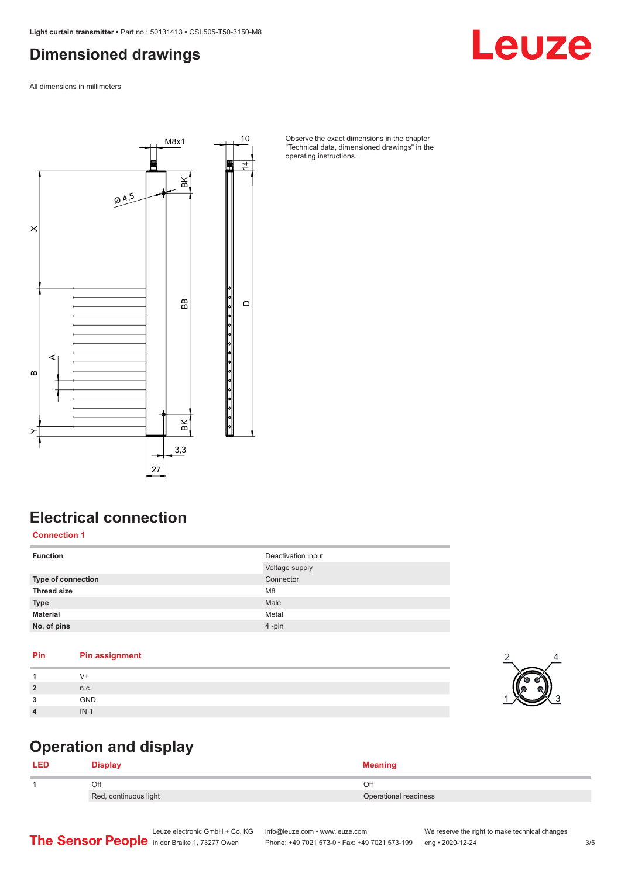#### <span id="page-2-0"></span>**Dimensioned drawings**

All dimensions in millimeters



#### Observe the exact dimensions in the chapter "Technical data, dimensioned drawings" in the operating instructions.

#### **Electrical connection**

**Connection 1**

| <b>Function</b>           | Deactivation input<br>Voltage supply |
|---------------------------|--------------------------------------|
| <b>Type of connection</b> | Connector                            |
| <b>Thread size</b>        | M <sub>8</sub>                       |
| <b>Type</b>               | Male                                 |
| <b>Material</b>           | Metal                                |
| No. of pins               | $4 - pin$                            |

| Pin            | <b>Pin assignment</b> |  |
|----------------|-----------------------|--|
|                | V+                    |  |
| $\overline{2}$ | n.c.                  |  |
| 3              | GND                   |  |
| $\overline{4}$ | IN <sub>1</sub>       |  |
|                |                       |  |

#### **Operation and display**

|  | <b>)ienlav</b>        | <b>Meaning</b>        |  |
|--|-----------------------|-----------------------|--|
|  | Эff                   | Off                   |  |
|  | Red, continuous light | Operational readiness |  |

Leuze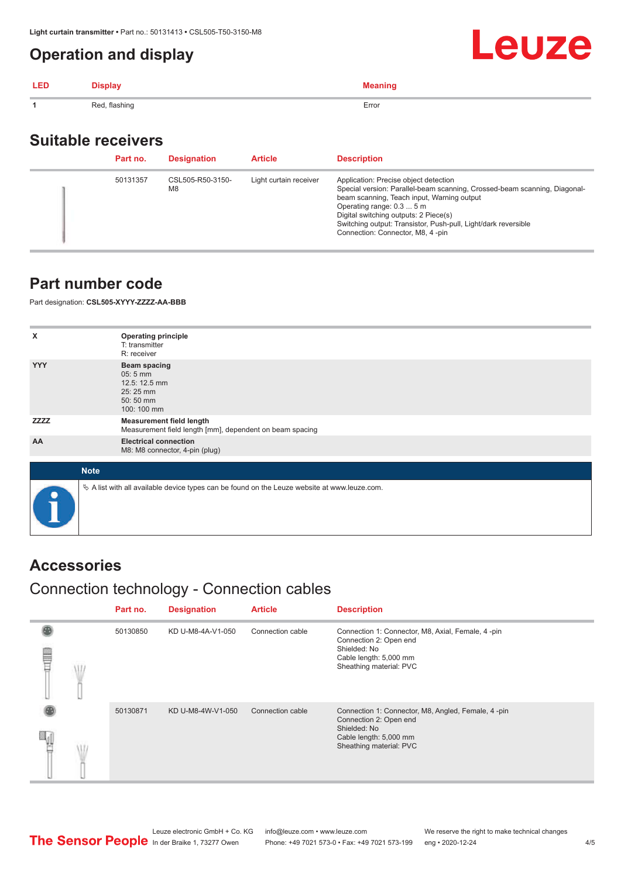#### <span id="page-3-0"></span>**Operation and display**

| <b>LED</b> | <b>Display</b> | <b>Meaning</b> |
|------------|----------------|----------------|
|            | Red, flashing  | Error          |

#### **Suitable receivers**

| Part no. | <b>Designation</b>                 | <b>Article</b>         | <b>Description</b>                                                                                                                                                                                                                                                                                                                           |
|----------|------------------------------------|------------------------|----------------------------------------------------------------------------------------------------------------------------------------------------------------------------------------------------------------------------------------------------------------------------------------------------------------------------------------------|
| 50131357 | CSL505-R50-3150-<br>M <sub>8</sub> | Light curtain receiver | Application: Precise object detection<br>Special version: Parallel-beam scanning, Crossed-beam scanning, Diagonal-<br>beam scanning, Teach input, Warning output<br>Operating range: 0.3  5 m<br>Digital switching outputs: 2 Piece(s)<br>Switching output: Transistor, Push-pull, Light/dark reversible<br>Connection: Connector, M8, 4-pin |

#### **Part number code**

Part designation: **CSL505-XYYY-ZZZZ-AA-BBB**

| X           | <b>Operating principle</b><br>T: transmitter<br>R: receiver                                       |
|-------------|---------------------------------------------------------------------------------------------------|
| <b>YYY</b>  | <b>Beam spacing</b><br>$05:5$ mm<br>12.5: 12.5 mm<br>25:25 mm<br>50:50 mm<br>100: 100 mm          |
| <b>ZZZZ</b> | <b>Measurement field length</b><br>Measurement field length [mm], dependent on beam spacing       |
| AA          | <b>Electrical connection</b><br>M8: M8 connector, 4-pin (plug)                                    |
| <b>Note</b> |                                                                                                   |
|             | Vector A list with all available device types can be found on the Leuze website at www.leuze.com. |

#### **Accessories**

#### Connection technology - Connection cables

|  | Part no. | <b>Designation</b> | <b>Article</b>   | <b>Description</b>                                                                                                                                |
|--|----------|--------------------|------------------|---------------------------------------------------------------------------------------------------------------------------------------------------|
|  | 50130850 | KD U-M8-4A-V1-050  | Connection cable | Connection 1: Connector, M8, Axial, Female, 4-pin<br>Connection 2: Open end<br>Shielded: No<br>Cable length: 5,000 mm<br>Sheathing material: PVC  |
|  | 50130871 | KD U-M8-4W-V1-050  | Connection cable | Connection 1: Connector, M8, Angled, Female, 4-pin<br>Connection 2: Open end<br>Shielded: No<br>Cable length: 5,000 mm<br>Sheathing material: PVC |

**Leuze**